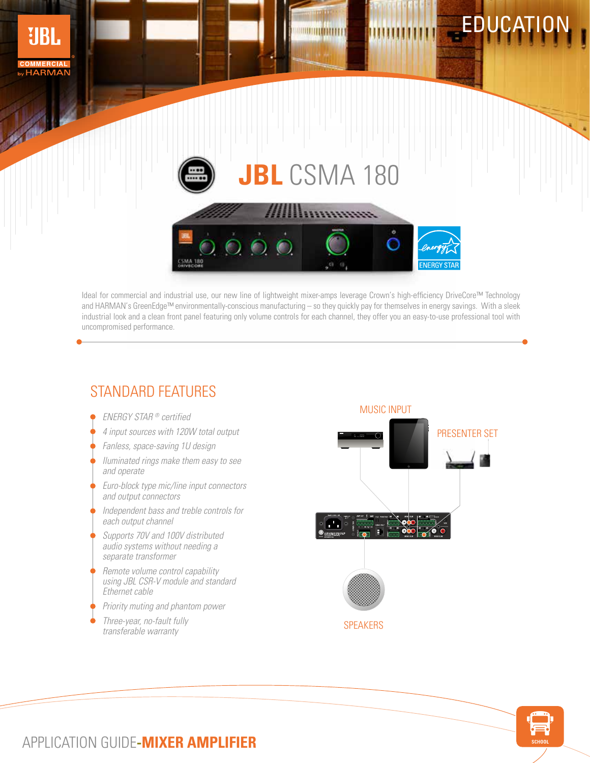

Ideal for commercial and industrial use, our new line of lightweight mixer-amps leverage Crown's high-efficiency DriveCore™ Technology and HARMAN's GreenEdge™ environmentally-conscious manufacturing – so they quickly pay for themselves in energy savings. With a sleek industrial look and a clean front panel featuring only volume controls for each channel, they offer you an easy-to-use professional tool with uncompromised performance.

## STANDARD FEATURES

- 
- 4 input sources with 120W total output
- Fanless, space-saving 1U design
- Iluminated rings make them easy to see and operate
- Euro-block type mic/line input connectors and output connectors
- Independent bass and treble controls for each output channel
- Supports 70V and 100V distributed audio systems without needing a separate transformer
- Remote volume control capability using JBL CSR-V module and standard Ethernet cable
- Priority muting and phantom power
- Three-year, no-fault fully transferable warranty





## APPLICATION GUIDE**-MIXER AMPLIFIER**